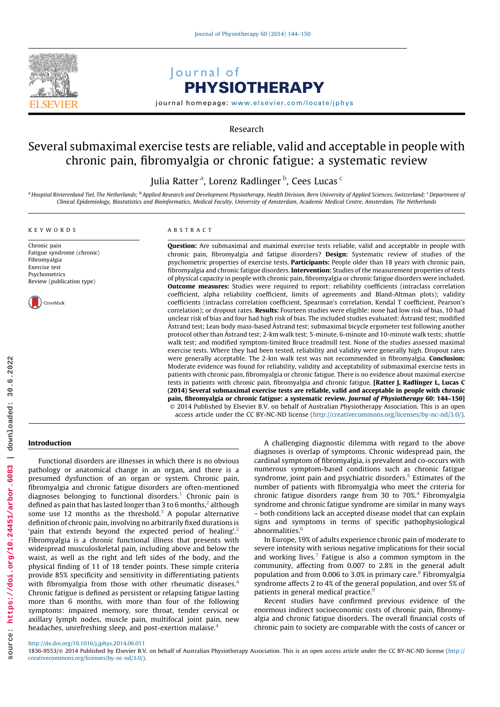

# Journal of PHYSIOTHERAPY

journal homepage: <www.elsevier.com/locate/jphys>

Research

# Several submaximal exercise tests are reliable, valid and acceptable in people with chronic pain, fibromyalgia or chronic fatigue: a systematic review

Julia Ratter <sup>a</sup>, Lorenz Radlinger <sup>b</sup>, Cees Lucas <sup>c</sup>

a Hospital Rivierenland Tiel, The Netherlands; <sup>b</sup> Applied Research and Development Physiotherapy, Health Division, Bern University of Applied Sciences, Switzerland; <sup>c</sup> Department of Clinical Epidemiology, Biostatistics and Bioinformatics, Medical Faculty, University of Amsterdam, Academic Medical Centre, Amsterdam, The Netherlands

## KEYWORDS

Chronic pain Fatigue syndrome (chronic) Fibromyalgia Exercise test Psychometrics Review (publication type)



#### ABSTRACT

Question: Are submaximal and maximal exercise tests reliable, valid and acceptable in people with chronic pain, fibromyalgia and fatigue disorders? Design: Systematic review of studies of the psychometric properties of exercise tests. Participants: People older than 18 years with chronic pain, fibromyalgia and chronic fatigue disorders. Intervention: Studies of the measurement properties of tests of physical capacity in people with chronic pain, fibromyalgia or chronic fatigue disorders were included. **Outcome measures:** Studies were required to report: reliability coefficients (intraclass correlation coefficient, alpha reliability coefficient, limits of agreements and Bland-Altman plots); validity coefficients (intraclass correlation coefficient, Spearman's correlation, Kendal T coefficient, Pearson's correlation); or dropout rates. Results: Fourteen studies were eligible: none had low risk of bias, 10 had unclear risk of bias and four had high risk of bias. The included studies evaluated: A˚ strand test; modified Åstrand test; Lean body mass-based Åstrand test; submaximal bicycle ergometer test following another protocol other than Åstrand test; 2-km walk test; 5-minute, 6-minute and 10-minute walk tests; shuttle walk test; and modified symptom-limited Bruce treadmill test. None of the studies assessed maximal exercise tests. Where they had been tested, reliability and validity were generally high. Dropout rates were generally acceptable. The 2-km walk test was not recommended in fibromyalgia. **Conclusion:** Moderate evidence was found for reliability, validity and acceptability of submaximal exercise tests in patients with chronic pain, fibromyalgia or chronic fatigue. There is no evidence about maximal exercise tests in patients with chronic pain, fibromyalgia and chronic fatigue. **[Ratter I, Radlinger L, Lucas C** (2014) Several submaximal exercise tests are reliable, valid and acceptable in people with chronic pain, fibromyalgia or chronic fatigue: a systematic review. Journal of Physiotherapy 60: 144–150] - 2014 Published by Elsevier B.V. on behalf of Australian Physiotherapy Association. This is an open access article under the CC BY-NC-ND license (<http://creativecommons.org/licenses/by-nc-nd/3.0/>).

#### Introduction

Functional disorders are illnesses in which there is no obvious pathology or anatomical change in an organ, and there is a presumed dysfunction of an organ or system. Chronic pain, fibromyalgia and chronic fatigue disorders are often-mentioned diagnoses belonging to functional disorders.<sup>1</sup> Chronic pain is defined as pain that has lasted longer than 3 to 6 months, $2$  although some use 12 months as the threshold. $3$  A popular alternative definition of chronic pain, involving no arbitrarily fixed durations is 'pain that extends beyond the expected period of healing'.<sup>2</sup> Fibromyalgia is a chronic functional illness that presents with widespread musculoskeletal pain, including above and below the waist, as well as the right and left sides of the body, and the physical finding of 11 of 18 tender points. These simple criteria provide 85% specificity and sensitivity in differentiating patients with fibromyalgia from those with other rheumatic diseases.<sup>4</sup> Chronic fatigue is defined as persistent or relapsing fatigue lasting more than 6 months, with more than four of the following symptoms: impaired memory, sore throat, tender cervical or axillary lymph nodes, muscle pain, multifocal joint pain, new headaches, unrefreshing sleep, and post-exertion malaise.4

A challenging diagnostic dilemma with regard to the above diagnoses is overlap of symptoms. Chronic widespread pain, the cardinal symptom of fibromyalgia, is prevalent and co-occurs with numerous symptom-based conditions such as chronic fatigue syndrome, joint pain and psychiatric disorders.<sup>5</sup> Estimates of the number of patients with fibromyalgia who meet the criteria for chronic fatigue disorders range from 30 to 70%.4 Fibromyalgia syndrome and chronic fatigue syndrome are similar in many ways – both conditions lack an accepted disease model that can explain signs and symptoms in terms of specific pathophysiological abnormalities.<sup>6</sup>

In Europe, 19% of adults experience chronic pain of moderate to severe intensity with serious negative implications for their social and working lives.<sup>7</sup> Fatigue is also a common symptom in the community, affecting from 0.007 to 2.8% in the general adult population and from 0.006 to 3.0% in primary care.<sup>8</sup> Fibromyalgia syndrome affects 2 to 4% of the general population, and over 5% of patients in general medical practice.<sup>9</sup>

Recent studies have confirmed previous evidence of the enormous indirect socioeconomic costs of chronic pain, fibromyalgia and chronic fatigue disorders. The overall financial costs of chronic pain to society are comparable with the costs of cancer or

<sup>1836-9553/@ 2014</sup> Published by Elsevier B.V. on behalf of Australian Physiotherapy Association. This is an open access article under the CC BY-NC-ND license ([http://](http://creativecommons.org/licenses/by-nc-nd/3.0/) [creativecommons.org/licenses/by-nc-nd/3.0/](http://creativecommons.org/licenses/by-nc-nd/3.0/)).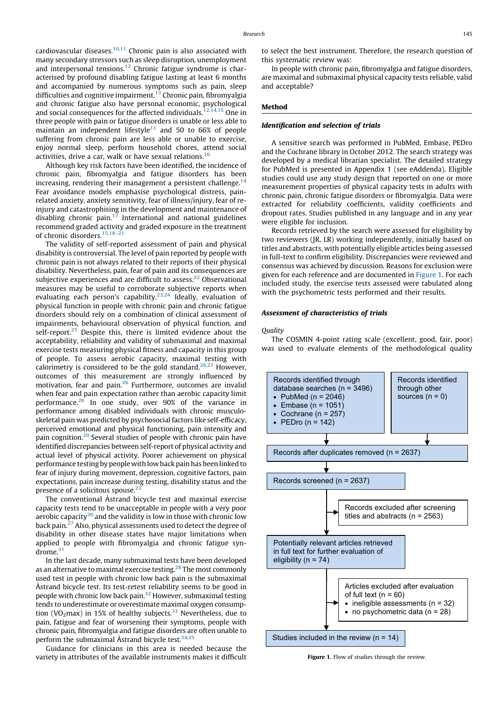cardiovascular diseases. $10,11$  Chronic pain is also associated with many secondary stressors such as sleep disruption, unemployment and interpersonal tensions.12 Chronic fatigue syndrome is characterised by profound disabling fatigue lasting at least 6 months and accompanied by numerous symptoms such as pain, sleep difficulties and cognitive impairment.<sup>13</sup> Chronic pain, fibromyalgia and chronic fatigue also have personal economic, psychological and social consequences for the affected individuals.<sup>12,14,15</sup> One in three people with pain or fatigue disorders is unable or less able to maintain an independent lifestyle $11$  and 50 to 66% of people suffering from chronic pain are less able or unable to exercise, enjoy normal sleep, perform household chores, attend social activities, drive a car, walk or have sexual relations.<sup>16</sup>

Although key risk factors have been identified, the incidence of chronic pain, fibromyalgia and fatigue disorders has been increasing, rendering their management a persistent challenge.<sup>14</sup> Fear avoidance models emphasise psychological distress, painrelated anxiety, anxiety sensitivity, fear of illness/injury, fear of reinjury and catastrophising in the development and maintenance of disabling chronic pain. $17$  International and national guidelines recommend graded activity and graded exposure in the treatment of chronic disorders.<sup>15,18-21</sup>

The validity of self-reported assessment of pain and physical disability is controversial. The level of pain reported by people with chronic pain is not always related to their reports of their physical disability. Nevertheless, pain, fear of pain and its consequences are subjective experiences and are difficult to assess.<sup>22</sup> Observational measures may be useful to corroborate subjective reports when evaluating each person's capability.<sup>23,24</sup> Ideally, evaluation of physical function in people with chronic pain and chronic fatigue disorders should rely on a combination of clinical assessment of impairments, behavioural observation of physical function, and self-report.<sup>25</sup> Despite this, there is limited evidence about the acceptability, reliability and validity of submaximal and maximal exercise tests measuring physical fitness and capacity in this group of people. To assess aerobic capacity, maximal testing with calorimetry is considered to be the gold standard.<sup>26,27</sup> However, outcomes of this measurement are strongly influenced by motivation, fear and pain.<sup>26</sup> Furthermore, outcomes are invalid when fear and pain expectation rather than aerobic capacity limit performance.<sup>28</sup> In one study, over 90% of the variance in performance among disabled individuals with chronic musculoskeletal pain was predicted by psychosocial factors like self-efficacy, perceived emotional and physical functioning, pain intensity and pain cognition.29 Several studies of people with chronic pain have identified discrepancies between self-report of physical activity and actual level of physical activity. Poorer achievement on physical performance testing by people with low back pain has been linked to fear of injury during movement, depression, cognitive factors, pain expectations, pain increase during testing, disability status and the presence of a solicitous spouse.<sup>2</sup>

The conventional Åstrand bicycle test and maximal exercise capacity tests tend to be unacceptable in people with a very poor aerobic capacity<sup>30</sup> and the validity is low in those with chronic low back pain.27 Also, physical assessments used to detect the degree of disability in other disease states have major limitations when applied to people with fibromyalgia and chronic fatigue syndrome. $31$ 

In the last decade, many submaximal tests have been developed as an alternative to maximal exercise testing.<sup>28</sup> The most commonly used test in people with chronic low back pain is the submaximal Astrand bicycle test. Its test-retest reliability seems to be good in people with chronic low back pain.<sup>32</sup> However, submaximal testing tends to underestimate or overestimate maximal oxygen consumption (VO<sub>2</sub>max) in 15% of healthy subjects.<sup>33</sup> Nevertheless, due to pain, fatigue and fear of worsening their symptoms, people with chronic pain, fibromyalgia and fatigue disorders are often unable to perform the submaximal Åstrand bicycle test. $34,35$ 

Guidance for clinicians in this area is needed because the variety in attributes of the available instruments makes it difficult to select the best instrument. Therefore, the research question of this systematic review was:

In people with chronic pain, fibromyalgia and fatigue disorders, are maximal and submaximal physical capacity tests reliable, valid and acceptable?

# Method

# Identification and selection of trials

A sensitive search was performed in PubMed, Embase, PEDro and the Cochrane library in October 2012. The search strategy was developed by a medical librarian specialist. The detailed strategy for PubMed is presented in Appendix 1 (see eAddenda). Eligible studies could use any study design that reported on one or more measurement properties of physical capacity tests in adults with chronic pain, chronic fatigue disorders or fibromyalgia. Data were extracted for reliability coefficients, validity coefficients and dropout rates. Studies published in any language and in any year were eligible for inclusion.

Records retrieved by the search were assessed for eligibility by two reviewers (JR, LR) working independently, initially based on titles and abstracts, with potentially eligible articles being assessed in full-text to confirm eligibility. Discrepancies were reviewed and consensus was achieved by discussion. Reasons for exclusion were given for each reference and are documented in Figure 1. For each included study, the exercise tests assessed were tabulated along with the psychometric tests performed and their results.

# Assessment of characteristics of trials

#### **Quality**

The COSMIN 4-point rating scale (excellent, good, fair, poor) was used to evaluate elements of the methodological quality



Figure 1. Flow of studies through the review.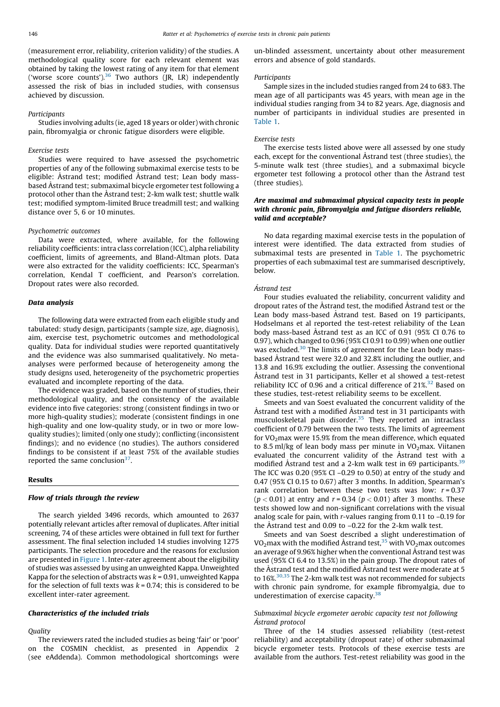#### **Participants**

Studies involving adults (ie, aged 18 years or older) with chronic pain, fibromyalgia or chronic fatigue disorders were eligible.

# Exercise tests

Studies were required to have assessed the psychometric properties of any of the following submaximal exercise tests to be eligible: Astrand test; modified Astrand test; Lean body massbased Astrand test; submaximal bicycle ergometer test following a protocol other than the Astrand test; 2-km walk test; shuttle walk test; modified symptom-limited Bruce treadmill test; and walking distance over 5, 6 or 10 minutes.

#### Psychometric outcomes

Data were extracted, where available, for the following reliability coefficients: intra class correlation (ICC), alpha reliability coefficient, limits of agreements, and Bland-Altman plots. Data were also extracted for the validity coefficients: ICC, Spearman's correlation, Kendal T coefficient, and Pearson's correlation. Dropout rates were also recorded.

#### Data analysis

The following data were extracted from each eligible study and tabulated: study design, participants (sample size, age, diagnosis), aim, exercise test, psychometric outcomes and methodological quality. Data for individual studies were reported quantitatively and the evidence was also summarised qualitatively. No metaanalyses were performed because of heterogeneity among the study designs used, heterogeneity of the psychometric properties evaluated and incomplete reporting of the data.

The evidence was graded, based on the number of studies, their methodological quality, and the consistency of the available evidence into five categories: strong (consistent findings in two or more high-quality studies); moderate (consistent findings in one high-quality and one low-quality study, or in two or more lowquality studies); limited (only one study); conflicting (inconsistent findings); and no evidence (no studies). The authors considered findings to be consistent if at least 75% of the available studies reported the same conclusion $37$ .

#### Results

# Flow of trials through the review

The search yielded 3496 records, which amounted to 2637 potentially relevant articles after removal of duplicates. After initial screening, 74 of these articles were obtained in full text for further assessment. The final selection included 14 studies involving 1275 participants. The selection procedure and the reasons for exclusion are presented in Figure 1. Inter-rater agreement about the eligibility of studies was assessed by using an unweighted Kappa. Unweighted Kappa for the selection of abstracts was  $k = 0.91$ , unweighted Kappa for the selection of full texts was  $k = 0.74$ ; this is considered to be excellent inter-rater agreement.

# Characteristics of the included trials

# **Ouality**

The reviewers rated the included studies as being 'fair' or 'poor' on the COSMIN checklist, as presented in Appendix 2 (see eAddenda). Common methodological shortcomings were

un-blinded assessment, uncertainty about other measurement errors and absence of gold standards.

#### Participants

Sample sizes in the included studies ranged from 24 to 683. The mean age of all participants was 45 years, with mean age in the individual studies ranging from 34 to 82 years. Age, diagnosis and number of participants in individual studies are presented in Table 1.

#### Exercise tests

The exercise tests listed above were all assessed by one study each, except for the conventional Astrand test (three studies), the 5-minute walk test (three studies), and a submaximal bicycle ergometer test following a protocol other than the Astrand test (three studies).

# Are maximal and submaximal physical capacity tests in people with chronic pain, fibromyalgia and fatigue disorders reliable, valid and acceptable?

No data regarding maximal exercise tests in the population of interest were identified. The data extracted from studies of submaximal tests are presented in Table 1. The psychometric properties of each submaximal test are summarised descriptively, below.

# Åstrand test

Four studies evaluated the reliability, concurrent validity and dropout rates of the Astrand test, the modified Astrand test or the Lean body mass-based Åstrand test. Based on 19 participants, Hodselmans et al reported the test-retest reliability of the Lean body mass-based Astrand test as an ICC of 0.91 (95% CI 0.76 to 0.97), which changed to 0.96 (95% CI 0.91 to 0.99) when one outlier was excluded.<sup>30</sup> The limits of agreement for the Lean body massbased Åstrand test were 32.0 and 32.8% including the outlier, and 13.8 and 16.9% excluding the outlier. Assessing the conventional Å strand test in 31 participants, Keller et al showed a test-retest reliability ICC of 0.96 and a critical difference of  $21\%.$ <sup>32</sup> Based on these studies, test-retest reliability seems to be excellent.

Smeets and van Soest evaluated the concurrent validity of the Å strand test with a modified Å strand test in 31 participants with musculoskeletal pain disorder. $35$  They reported an intraclass coefficient of 0.79 between the two tests. The limits of agreement for  $VO<sub>2</sub>$ max were 15.9% from the mean difference, which equated to 8.5 ml/kg of lean body mass per minute in  $VO<sub>2</sub>$ max. Viitanen evaluated the concurrent validity of the Åstrand test with a modified Å strand test and a 2-km walk test in 69 participants.  $39$ The ICC was  $0.20$  (95% CI -0.29 to 0.50) at entry of the study and 0.47 (95% CI 0.15 to 0.67) after 3 months. In addition, Spearman's rank correlation between these two tests was low:  $r = 0.37$  $(p < 0.01)$  at entry and  $r = 0.34$   $(p < 0.01)$  after 3 months. These tests showed low and non-significant correlations with the visual analog scale for pain, with r-values ranging from 0.11 to –0.19 for the Astrand test and 0.09 to  $-0.22$  for the 2-km walk test.

Smeets and van Soest described a slight underestimation of VO<sub>2</sub>max with the modified Åstrand test,<sup>35</sup> with VO<sub>2</sub>max outcomes an average of 9.96% higher when the conventional Å strand test was used (95% CI 6.4 to 13.5%) in the pain group. The dropout rates of the Astrand test and the modified Astrand test were moderate at 5 to 16%.  $^{\rm 30,35}$  The 2-km walk test was not recommended for subjects with chronic pain syndrome, for example fibromyalgia, due to underestimation of exercise capacity.<sup>38</sup>

# Submaximal bicycle ergometer aerobic capacity test not following Åstrand protocol

Three of the 14 studies assessed reliability (test-retest reliability) and acceptability (dropout rate) of other submaximal bicycle ergometer tests. Protocols of these exercise tests are available from the authors. Test-retest reliability was good in the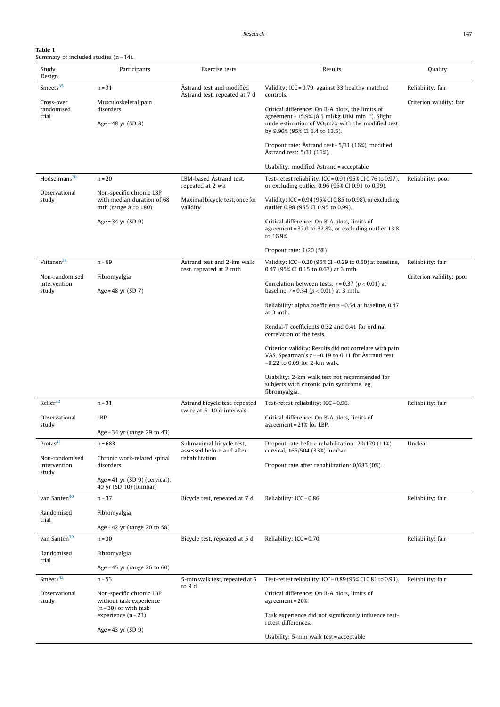| Table 1                                  |
|------------------------------------------|
| Summary of included studies $(n = 14)$ . |

| Study<br>Design                | Participants                                                                        | Exercise tests                                              | Results                                                                                                                                                            | Quality                  |
|--------------------------------|-------------------------------------------------------------------------------------|-------------------------------------------------------------|--------------------------------------------------------------------------------------------------------------------------------------------------------------------|--------------------------|
| Smeets <sup>35</sup>           | $n = 31$                                                                            | Åstrand test and modified<br>Astrand test, repeated at 7 d  | Validity: ICC = 0.79, against 33 healthy matched<br>controls.                                                                                                      | Reliability: fair        |
| Cross-over<br>randomised       | Musculoskeletal pain<br>disorders                                                   |                                                             | Critical difference: On B-A plots, the limits of                                                                                                                   | Criterion validity: fair |
| trial                          | Age = $48$ yr (SD 8)                                                                |                                                             | agreement = $15.9\%$ (8.5 ml/kg LBM min <sup>-1</sup> ). Slight<br>underestimation of VO <sub>2</sub> max with the modified test<br>by 9.96% (95% CI 6.4 to 13.5). |                          |
|                                |                                                                                     |                                                             | Dropout rate: Astrand test = 5/31 (16%), modified<br>Astrand test: 5/31 (16%).                                                                                     |                          |
|                                |                                                                                     |                                                             | Usability: modified Astrand = acceptable                                                                                                                           |                          |
| Hodselmans <sup>30</sup>       | $n = 20$                                                                            | LBM-based Astrand test,<br>repeated at 2 wk                 | Test-retest reliability: ICC = 0.91 (95% CI 0.76 to 0.97),<br>or excluding outlier 0.96 (95% CI 0.91 to 0.99).                                                     | Reliability: poor        |
| Observational<br>study         | Non-specific chronic LBP<br>with median duration of 68<br>mth (range $8$ to $180$ ) | Maximal bicycle test, once for<br>validity                  | Validity: ICC = 0.94 (95% CI 0.85 to 0.98), or excluding<br>outlier 0.98 (955 CI 0.95 to 0.99).                                                                    |                          |
|                                | Age = $34$ yr (SD 9)                                                                |                                                             | Critical difference: On B-A plots, limits of<br>agreement = 32.0 to 32.8%, or excluding outlier 13.8<br>to 16.9%.                                                  |                          |
|                                |                                                                                     |                                                             | Dropout rate: $1/20$ (5%)                                                                                                                                          |                          |
| Viitanen <sup>38</sup>         | $n = 69$                                                                            | Astrand test and 2-km walk                                  | Validity: ICC = 0.20 (95% CI -0.29 to 0.50) at baseline,<br>0.47 (95% CI 0.15 to 0.67) at 3 mth.                                                                   | Reliability: fair        |
| Non-randomised                 | Fibromyalgia                                                                        | test, repeated at 2 mth                                     |                                                                                                                                                                    | Criterion validity: poor |
| intervention<br>study          | Age = $48$ yr (SD 7)                                                                |                                                             | Correlation between tests: $r = 0.37$ ( $p < 0.01$ ) at<br>baseline, $r = 0.34$ ( $p < 0.01$ ) at 3 mth.                                                           |                          |
|                                |                                                                                     |                                                             | Reliability: alpha coefficients = 0.54 at baseline, 0.47<br>at 3 mth.                                                                                              |                          |
|                                |                                                                                     |                                                             | Kendal-T coefficients 0.32 and 0.41 for ordinal<br>correlation of the tests.                                                                                       |                          |
|                                |                                                                                     |                                                             | Criterion validity: Results did not correlate with pain<br>VAS, Spearman's $r = -0.19$ to 0.11 for Astrand test,<br>$-0.22$ to 0.09 for 2-km walk.                 |                          |
|                                |                                                                                     |                                                             | Usability: 2-km walk test not recommended for<br>subjects with chronic pain syndrome, eg,<br>fibromyalgia.                                                         |                          |
| Keller <sup>32</sup>           | $n = 31$                                                                            | Astrand bicycle test, repeated<br>twice at 5-10 d intervals | Test-retest reliability: ICC = 0.96.                                                                                                                               | Reliability: fair        |
| Observational<br>study         | LBP                                                                                 |                                                             | Critical difference: On B-A plots, limits of<br>agreement = $21\%$ for LBP.                                                                                        |                          |
|                                | Age = $34$ yr (range 29 to 43)                                                      |                                                             |                                                                                                                                                                    |                          |
| Protas <sup>41</sup>           | $n = 683$                                                                           | Submaximal bicycle test,<br>assessed before and after       | Dropout rate before rehabilitation: 20/179 (11%)<br>cervical, 165/504 (33%) lumbar.                                                                                | Unclear                  |
| Non-randomised<br>intervention | Chronic work-related spinal<br>disorders                                            | rehabilitation                                              | Dropout rate after rehabilitation: 0/683 (0%).                                                                                                                     |                          |
| study                          | $Age = 41$ yr $(SD 9)$ (cervical);<br>40 yr (SD 10) (lumbar)                        |                                                             |                                                                                                                                                                    |                          |
| van Santen $40$                | $n = 37$                                                                            | Bicycle test, repeated at 7 d                               | Reliability: ICC = 0.86.                                                                                                                                           | Reliability: fair        |
| Randomised<br>trial            | Fibromyalgia                                                                        |                                                             |                                                                                                                                                                    |                          |
|                                | Age = 42 yr (range 20 to 58)                                                        |                                                             |                                                                                                                                                                    |                          |
| van Santen <sup>39</sup>       | $n = 30$                                                                            | Bicycle test, repeated at 5 d                               | Reliability: $ICC = 0.70$ .                                                                                                                                        | Reliability: fair        |
| Randomised<br>trial            | Fibromyalgia                                                                        |                                                             |                                                                                                                                                                    |                          |
|                                | Age = $45$ yr (range 26 to 60)                                                      |                                                             |                                                                                                                                                                    |                          |
| Smeets <sup>42</sup>           | $n = 53$                                                                            | 5-min walk test, repeated at 5<br>to 9 d                    | Test-retest reliability: ICC = 0.89 (95% CI 0.81 to 0.93).                                                                                                         | Reliability: fair        |
| Observational<br>study         | Non-specific chronic LBP<br>without task experience<br>$(n=30)$ or with task        |                                                             | Critical difference: On B-A plots, limits of<br>agreement = 20%.                                                                                                   |                          |
|                                | experience $(n=23)$                                                                 |                                                             | Task experience did not significantly influence test-<br>retest differences.                                                                                       |                          |
|                                | Age = $43$ yr (SD 9)                                                                |                                                             | Usability: 5-min walk test = acceptable                                                                                                                            |                          |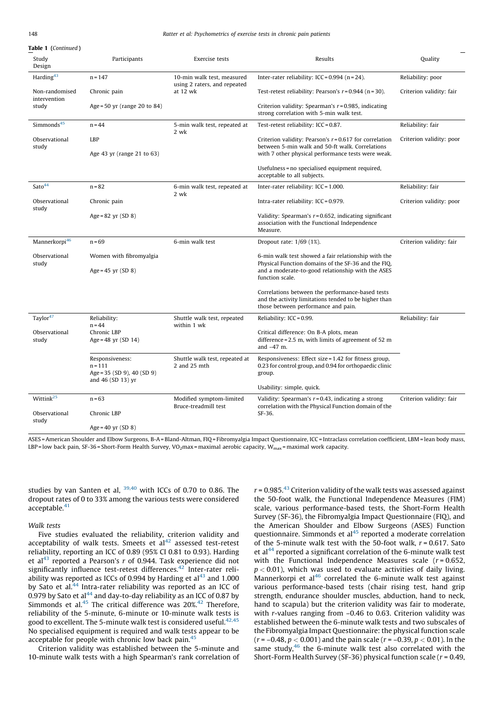Table 1 (Continued )

| Study<br>Design                         | Participants                                                                      | <b>Exercise</b> tests                                      | Results                                                                                                                                                         | Quality                  |
|-----------------------------------------|-----------------------------------------------------------------------------------|------------------------------------------------------------|-----------------------------------------------------------------------------------------------------------------------------------------------------------------|--------------------------|
| Harding <sup>43</sup>                   | $n = 147$                                                                         | 10-min walk test, measured<br>using 2 raters, and repeated | Inter-rater reliability: ICC = $0.994$ (n = 24).                                                                                                                | Reliability: poor        |
| Non-randomised<br>intervention<br>study | Chronic pain                                                                      | at $12$ wk                                                 | Test-retest reliability: Pearson's $r = 0.944$ (n = 30).                                                                                                        | Criterion validity: fair |
|                                         | Age = $50$ yr (range 20 to 84)                                                    |                                                            | Criterion validity: Spearman's $r = 0.985$ , indicating<br>strong correlation with 5-min walk test.                                                             |                          |
| Simmonds <sup>45</sup>                  | $n = 44$                                                                          | 5-min walk test, repeated at<br>2 wk                       | Test-retest reliability: ICC = 0.87.                                                                                                                            | Reliability: fair        |
| Observational<br>study                  | <b>LBP</b>                                                                        |                                                            | Criterion validity: Pearson's $r = 0.617$ for correlation<br>between 5-min walk and 50-ft walk. Correlations                                                    | Criterion validity: poor |
|                                         | Age 43 yr (range 21 to 63)                                                        |                                                            | with 7 other physical performance tests were weak.                                                                                                              |                          |
|                                         |                                                                                   |                                                            | Usefulness = no specialised equipment required,<br>acceptable to all subjects.                                                                                  |                          |
| Sato <sup>44</sup>                      | $n = 82$                                                                          | 6-min walk test, repeated at<br>2 wk                       | Inter-rater reliability: ICC = 1.000.                                                                                                                           | Reliability: fair        |
| Observational<br>study                  | Chronic pain                                                                      |                                                            | Intra-rater reliability: ICC = 0.979.                                                                                                                           | Criterion validity: poor |
|                                         | $Age = 82$ yr $(SD 8)$                                                            |                                                            | Validity: Spearman's $r = 0.652$ , indicating significant<br>association with the Functional Independence<br>Measure.                                           |                          |
| Mannerkorpi <sup>46</sup>               | $n = 69$                                                                          | 6-min walk test                                            | Dropout rate: 1/69 (1%).                                                                                                                                        | Criterion validity: fair |
| Observational<br>study                  | Women with fibromyalgia<br>Age = $45$ yr (SD 8)                                   |                                                            | 6-min walk test showed a fair relationship with the<br>Physical Function domains of the SF-36 and the FIQ.<br>and a moderate-to-good relationship with the ASES |                          |
|                                         |                                                                                   |                                                            | function scale.                                                                                                                                                 |                          |
|                                         |                                                                                   |                                                            | Correlations between the performance-based tests<br>and the activity limitations tended to be higher than<br>those between performance and pain.                |                          |
| Taylor <sup>47</sup>                    | Reliability:<br>$n = 44$                                                          | Shuttle walk test, repeated<br>within 1 wk                 | Reliability: $ICC = 0.99$ .                                                                                                                                     | Reliability: fair        |
| Observational<br>study                  | Chronic LBP<br>Age = 48 yr $(SD 14)$                                              |                                                            | Critical difference: On B-A plots, mean<br>difference = $2.5$ m, with limits of agreement of $52$ m<br>and $-47$ m.                                             |                          |
|                                         | Responsiveness:<br>$n = 111$<br>Age = $35$ (SD 9), 40 (SD 9)<br>and 46 (SD 13) yr | Shuttle walk test, repeated at<br>2 and 25 mth             | Responsiveness: Effect size = $1.42$ for fitness group,<br>0.23 for control group, and 0.94 for orthopaedic clinic<br>group.                                    |                          |
|                                         |                                                                                   |                                                            | Usability: simple, quick.                                                                                                                                       |                          |
| Wittink <sup>25</sup>                   | $n = 63$                                                                          | Modified symptom-limited<br>Bruce-treadmill test           | Validity: Spearman's $r = 0.43$ , indicating a strong<br>correlation with the Physical Function domain of the                                                   | Criterion validity: fair |
| Observational<br>study                  | Chronic LBP                                                                       |                                                            | SF-36.                                                                                                                                                          |                          |
|                                         | Age = $40$ yr (SD 8)                                                              |                                                            |                                                                                                                                                                 |                          |

ASES = American Shoulder and Elbow Surgeons, B-A = Bland-Altman, FIQ = Fibromyalgia Impact Questionnaire, ICC = Intraclass correlation coefficient, LBM = lean body mass, LBP = low back pain, SF-36 = Short-Form Health Survey, VO<sub>2</sub>max = maximal aerobic capacity, W<sub>max</sub> = maximal work capacity.

studies by van Santen et al, 39,40 with ICCs of 0.70 to 0.86. The dropout rates of 0 to 33% among the various tests were considered acceptable. $41$ 

# Walk tests

Five studies evaluated the reliability, criterion validity and acceptability of walk tests. Smeets et  $al<sup>42</sup>$  assessed test-retest reliability, reporting an ICC of 0.89 (95% CI 0.81 to 0.93). Harding et al<sup>43</sup> reported a Pearson's  $r$  of 0.944. Task experience did not significantly influence test-retest differences.<sup>42</sup> Inter-rater reliability was reported as ICCs of 0.994 by Harding et  $al<sup>43</sup>$  and 1.000 by Sato et al. $44$  Intra-rater reliability was reported as an ICC of 0.979 by Sato et al $^{44}$  and day-to-day reliability as an ICC of 0.87 by Simmonds et al.<sup>45</sup> The critical difference was 20%.<sup>42</sup> Therefore, reliability of the 5-minute, 6-minute or 10-minute walk tests is good to excellent. The 5-minute walk test is considered useful.  $42,45$ No specialised equipment is required and walk tests appear to be acceptable for people with chronic low back pain.<sup>45</sup>

Criterion validity was established between the 5-minute and 10-minute walk tests with a high Spearman's rank correlation of  $r = 0.985<sup>43</sup>$  Criterion validity of the walk tests was assessed against the 50-foot walk, the Functional Independence Measures (FIM) scale, various performance-based tests, the Short-Form Health Survey (SF-36), the Fibromyalgia Impact Questionnaire (FIQ), and the American Shoulder and Elbow Surgeons (ASES) Function questionnaire. Simmonds et al<sup>45</sup> reported a moderate correlation of the 5-minute walk test with the 50-foot walk,  $r = 0.617$ . Sato et al $^{44}$  reported a significant correlation of the 6-minute walk test with the Functional Independence Measures scale  $(r = 0.652)$ ,  $p < 0.01$ ), which was used to evaluate activities of daily living. Mannerkorpi et al<sup>46</sup> correlated the 6-minute walk test against various performance-based tests (chair rising test, hand grip strength, endurance shoulder muscles, abduction, hand to neck, hand to scapula) but the criterion validity was fair to moderate, with *r*-values ranging from -0.46 to 0.63. Criterion validity was established between the 6-minute walk tests and two subscales of the Fibromyalgia Impact Questionnaire: the physical function scale  $(r = -0.48, p < 0.001)$  and the pain scale  $(r = -0.39, p < 0.01)$ . In the same study, $46$  the 6-minute walk test also correlated with the Short-Form Health Survey (SF-36) physical function scale ( $r = 0.49$ ,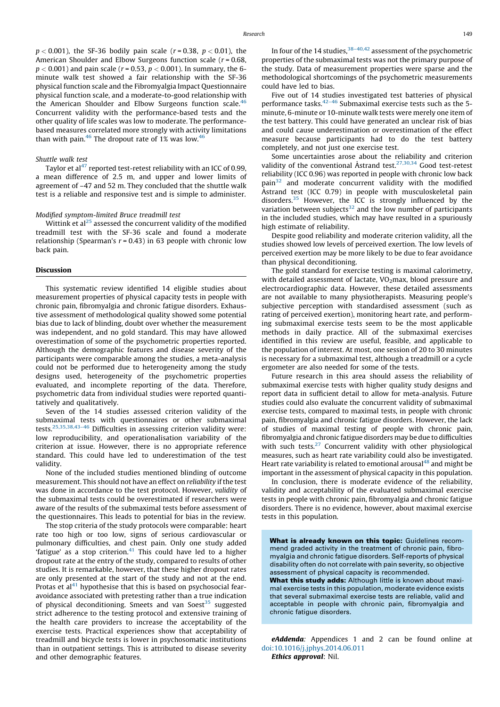$p < 0.001$ ), the SF-36 bodily pain scale ( $r = 0.38$ ,  $p < 0.01$ ), the American Shoulder and Elbow Surgeons function scale ( $r = 0.68$ ,  $p < 0.001$ ) and pain scale ( $r = 0.53$ ,  $p < 0.001$ ). In summary, the 6minute walk test showed a fair relationship with the SF-36 physical function scale and the Fibromyalgia Impact Questionnaire physical function scale, and a moderate-to-good relationship with the American Shoulder and Elbow Surgeons function scale. $46$ Concurrent validity with the performance-based tests and the other quality of life scales was low to moderate. The performancebased measures correlated more strongly with activity limitations than with pain. $46$  The dropout rate of 1% was low. $46$ 

# Shuttle walk test

Taylor et al<sup>47</sup> reported test-retest reliability with an ICC of 0.99, a mean difference of 2.5 m, and upper and lower limits of agreement of –47 and 52 m. They concluded that the shuttle walk test is a reliable and responsive test and is simple to administer.

# Modified symptom-limited Bruce treadmill test

Wittink et al<sup>25</sup> assessed the concurrent validity of the modified treadmill test with the SF-36 scale and found a moderate relationship (Spearman's  $r = 0.43$ ) in 63 people with chronic low back pain.

#### Discussion

This systematic review identified 14 eligible studies about measurement properties of physical capacity tests in people with chronic pain, fibromyalgia and chronic fatigue disorders. Exhaustive assessment of methodological quality showed some potential bias due to lack of blinding, doubt over whether the measurement was independent, and no gold standard. This may have allowed overestimation of some of the psychometric properties reported. Although the demographic features and disease severity of the participants were comparable among the studies, a meta-analysis could not be performed due to heterogeneity among the study designs used, heterogeneity of the psychometric properties evaluated, and incomplete reporting of the data. Therefore, psychometric data from individual studies were reported quantitatively and qualitatively.

Seven of the 14 studies assessed criterion validity of the submaximal tests with questionnaires or other submaximal tests.25,35,38,43–46 Difficulties in assessing criterion validity were: low reproducibility, and operationalisation variability of the criterion at issue. However, there is no appropriate reference standard. This could have led to underestimation of the test validity.

None of the included studies mentioned blinding of outcome measurement. This should not have an effect on reliability if the test was done in accordance to the test protocol. However, validity of the submaximal tests could be overestimated if researchers were aware of the results of the submaximal tests before assessment of the questionnaires. This leads to potential for bias in the review.

The stop criteria of the study protocols were comparable: heart rate too high or too low, signs of serious cardiovascular or pulmonary difficulties, and chest pain. Only one study added 'fatigue' as a stop criterion. $41$  This could have led to a higher dropout rate at the entry of the study, compared to results of other studies. It is remarkable, however, that these higher dropout rates are only presented at the start of the study and not at the end. Protas et al<sup>41</sup> hypothesise that this is based on psychosocial fearavoidance associated with pretesting rather than a true indication of physical deconditioning. Smeets and van Soest<sup>35</sup> suggested strict adherence to the testing protocol and extensive training of the health care providers to increase the acceptability of the exercise tests. Practical experiences show that acceptability of treadmill and bicycle tests is lower in psychosomatic institutions than in outpatient settings. This is attributed to disease severity and other demographic features.

In four of the 14 studies,<sup>38-40,42</sup> assessment of the psychometric properties of the submaximal tests was not the primary purpose of the study. Data of measurement properties were sparse and the methodological shortcomings of the psychometric measurements could have led to bias.

Five out of 14 studies investigated test batteries of physical performance tasks. $42-46$  Submaximal exercise tests such as the 5minute, 6-minute or 10-minute walk tests were merely one item of the test battery. This could have generated an unclear risk of bias and could cause underestimation or overestimation of the effect measure because participants had to do the test battery completely, and not just one exercise test.

Some uncertainties arose about the reliability and criterion validity of the conventional Åstrand test. $27,30,34$  Good test-retest reliability (ICC 0.96) was reported in people with chronic low back pain32 and moderate concurrent validity with the modified  $A$ strand test (ICC 0.79) in people with musculoskeletal pain disorders. $35$  However, the ICC is strongly influenced by the variation between subjects $32$  and the low number of participants in the included studies, which may have resulted in a spuriously high estimate of reliability.

Despite good reliability and moderate criterion validity, all the studies showed low levels of perceived exertion. The low levels of perceived exertion may be more likely to be due to fear avoidance than physical deconditioning.

The gold standard for exercise testing is maximal calorimetry, with detailed assessment of lactate,  $VO<sub>2</sub>$ max, blood pressure and electrocardiographic data. However, these detailed assessments are not available to many physiotherapists. Measuring people's subjective perception with standardised assessment (such as rating of perceived exertion), monitoring heart rate, and performing submaximal exercise tests seem to be the most applicable methods in daily practice. All of the submaximal exercises identified in this review are useful, feasible, and applicable to the population of interest. At most, one session of 20 to 30 minutes is necessary for a submaximal test, although a treadmill or a cycle ergometer are also needed for some of the tests.

Future research in this area should assess the reliability of submaximal exercise tests with higher quality study designs and report data in sufficient detail to allow for meta-analysis. Future studies could also evaluate the concurrent validity of submaximal exercise tests, compared to maximal tests, in people with chronic pain, fibromyalgia and chronic fatigue disorders. However, the lack of studies of maximal testing of people with chronic pain, fibromyalgia and chronic fatigue disorders may be due to difficulties with such tests. $27$  Concurrent validity with other physiological measures, such as heart rate variability could also be investigated. Heart rate variability is related to emotional arousal<sup>48</sup> and might be important in the assessment of physical capacity in this population.

In conclusion, there is moderate evidence of the reliability, validity and acceptability of the evaluated submaximal exercise tests in people with chronic pain, fibromyalgia and chronic fatigue disorders. There is no evidence, however, about maximal exercise tests in this population.

What is already known on this topic: Guidelines recommend graded activity in the treatment of chronic pain, fibromyalgia and chronic fatigue disorders. Self-reports of physical disability often do not correlate with pain severity, so objective assessment of physical capacity is recommended.

What this study adds: Although little is known about maximal exercise tests in this population, moderate evidence exists that several submaximal exercise tests are reliable, valid and acceptable in people with chronic pain, fibromyalgia and chronic fatigue disorders.

eAddenda: Appendices 1 and 2 can be found online at [doi:10.1016/j.jphys.2014.06.011](http://dx.doi.org/10.1016/j.jphys.2014.06.011) Ethics approval: Nil.